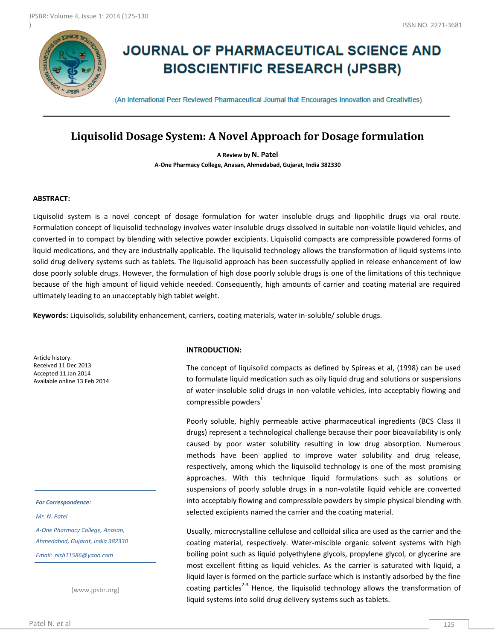

# **JOURNAL OF PHARMACEUTICAL SCIENCE AND BIOSCIENTIFIC RESEARCH (JPSBR)**

(An International Peer Reviewed Pharmaceutical Journal that Encourages Innovation and Creativities)

# **Liquisolid Dosage System: A Novel Approach for Dosage formulation**

**A Review by N. Patel A-One Pharmacy College, Anasan, Ahmedabad, Gujarat, India 382330**

#### **ABSTRACT:**

Liquisolid system is a novel concept of dosage formulation for water insoluble drugs and lipophilic drugs via oral route. Formulation concept of liquisolid technology involves water insoluble drugs dissolved in suitable non-volatile liquid vehicles, and converted in to compact by blending with selective powder excipients. Liquisolid compacts are compressible powdered forms of liquid medications, and they are industrially applicable. The liquisolid technology allows the transformation of liquid systems into solid drug delivery systems such as tablets. The liquisolid approach has been successfully applied in release enhancement of low dose poorly soluble drugs. However, the formulation of high dose poorly soluble drugs is one of the limitations of this technique because of the high amount of liquid vehicle needed. Consequently, high amounts of carrier and coating material are required ultimately leading to an unacceptably high tablet weight.

**Keywords:** Liquisolids, solubility enhancement, carriers, coating materials, water in-soluble/ soluble drugs.

Article history: Received 11 Dec 2013 Accepted 11 Jan 2014 Available online 13 Feb 2014

*For Correspondence:*

*Mr. N. Patel*

*A-One Pharmacy College, Anasan, Ahmedabad, Gujarat, India 382330 Email: nish11586@yaoo.com*

(www.jpsbr.org)

#### **INTRODUCTION:**

The concept of liquisolid compacts as defined by Spireas et al, (1998) can be used to formulate liquid medication such as oily liquid drug and solutions or suspensions of water-insoluble solid drugs in non-volatile vehicles, into acceptably flowing and compressible powders $<sup>1</sup>$ </sup>

Poorly soluble, highly permeable active pharmaceutical ingredients (BCS Class II drugs) represent a technological challenge because their poor bioavailability is only caused by poor water solubility resulting in low drug absorption. Numerous methods have been applied to improve water solubility and drug release, respectively, among which the liquisolid technology is one of the most promising approaches. With this technique liquid formulations such as solutions or suspensions of poorly soluble drugs in a non-volatile liquid vehicle are converted into acceptably flowing and compressible powders by simple physical blending with selected excipients named the carrier and the coating material.

Usually, microcrystalline cellulose and colloidal silica are used as the carrier and the coating material, respectively. Water-miscible organic solvent systems with high boiling point such as liquid polyethylene glycols, propylene glycol, or glycerine are most excellent fitting as liquid vehicles. As the carrier is saturated with liquid, a liquid layer is formed on the particle surface which is instantly adsorbed by the fine coating particles<sup>2-3</sup>. Hence, the liquisolid technology allows the transformation of liquid systems into solid drug delivery systems such as tablets.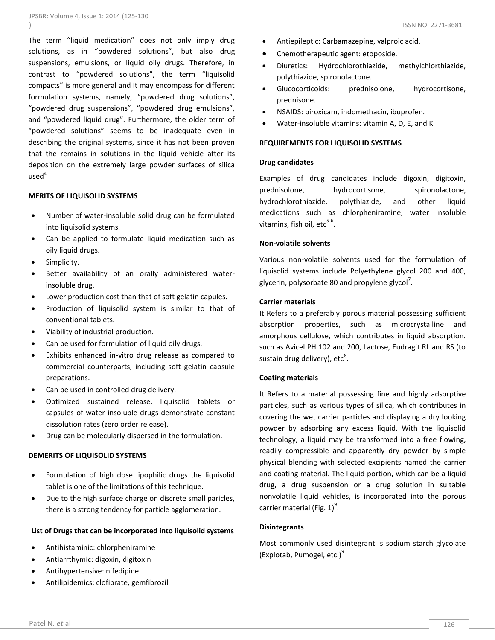The term "liquid medication" does not only imply drug solutions, as in "powdered solutions", but also drug suspensions, emulsions, or liquid oily drugs. Therefore, in contrast to "powdered solutions", the term "liquisolid compacts" is more general and it may encompass for different formulation systems, namely, "powdered drug solutions", "powdered drug suspensions", "powdered drug emulsions", and "powdered liquid drug". Furthermore, the older term of "powdered solutions" seems to be inadequate even in describing the original systems, since it has not been proven that the remains in solutions in the liquid vehicle after its deposition on the extremely large powder surfaces of silica  $used<sup>4</sup>$ 

#### **MERITS OF LIQUISOLID SYSTEMS**

- Number of water-insoluble solid drug can be formulated into liquisolid systems.
- Can be applied to formulate liquid medication such as oily liquid drugs.
- Simplicity.
- Better availability of an orally administered waterinsoluble drug.
- Lower production cost than that of soft gelatin capules.
- Production of liquisolid system is similar to that of conventional tablets.
- Viability of industrial production.
- Can be used for formulation of liquid oily drugs.
- Exhibits enhanced in-vitro drug release as compared to commercial counterparts, including soft gelatin capsule preparations.
- Can be used in controlled drug delivery.
- Optimized sustained release, liquisolid tablets or capsules of water insoluble drugs demonstrate constant dissolution rates (zero order release).
- Drug can be molecularly dispersed in the formulation.

#### **DEMERITS OF LIQUISOLID SYSTEMS**

- Formulation of high dose lipophilic drugs the liquisolid tablet is one of the limitations of this technique.
- Due to the high surface charge on discrete small paricles, there is a strong tendency for particle agglomeration.

#### **List of Drugs that can be incorporated into liquisolid systems**

- Antihistaminic: chlorpheniramine
- Antiarrthymic: digoxin, digitoxin
- Antihypertensive: nifedipine
- Antilipidemics: clofibrate, gemfibrozil
- Antiepileptic: Carbamazepine, valproic acid.
- Chemotherapeutic agent: etoposide.
- Diuretics: Hydrochlorothiazide, methylchlorthiazide, polythiazide, spironolactone.
- Glucocorticoids: prednisolone, hydrocortisone, prednisone.
- NSAIDS: piroxicam, indomethacin, ibuprofen.
- Water-insoluble vitamins: vitamin A, D, E, and K

# **REQUIREMENTS FOR LIQUISOLID SYSTEMS**

#### **Drug candidates**

Examples of drug candidates include digoxin, digitoxin, prednisolone, hydrocortisone, spironolactone, hydrochlorothiazide, polythiazide, and other liquid medications such as chlorpheniramine, water insoluble vitamins, fish oil,  $etc<sup>5-6</sup>$ .

#### **Non-volatile solvents**

Various non-volatile solvents used for the formulation of liquisolid systems include Polyethylene glycol 200 and 400, glycerin, polysorbate 80 and propylene glycol<sup>7</sup>.

#### **Carrier materials**

It Refers to a preferably porous material possessing sufficient absorption properties, such as microcrystalline and amorphous cellulose, which contributes in liquid absorption. such as Avicel PH 102 and 200, Lactose, Eudragit RL and RS (to sustain drug delivery), etc<sup>8</sup>.

#### **Coating materials**

It Refers to a material possessing fine and highly adsorptive particles, such as various types of silica, which contributes in covering the wet carrier particles and displaying a dry looking powder by adsorbing any excess liquid. With the liquisolid technology, a liquid may be transformed into a free flowing, readily compressible and apparently dry powder by simple physical blending with selected excipients named the carrier and coating material. The liquid portion, which can be a liquid drug, a drug suspension or a drug solution in suitable nonvolatile liquid vehicles, is incorporated into the porous carrier material (Fig.  $1)^9$ .

#### **Disintegrants**

Most commonly used disintegrant is sodium starch glycolate (Explotab, Pumogel, etc.) $9$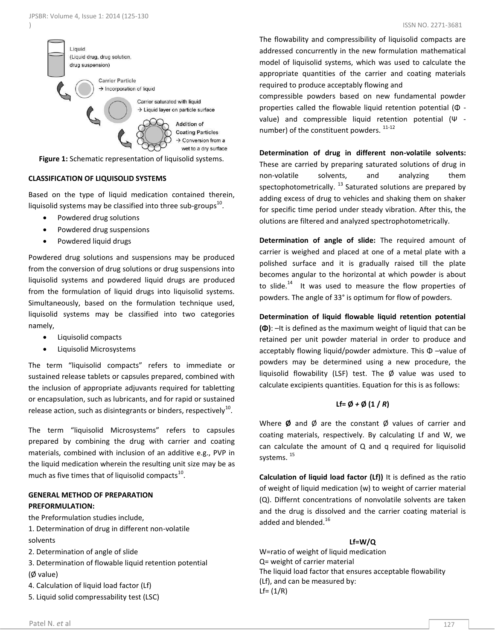

**Figure 1:** Schematic representation of liquisolid systems.

### **CLASSIFICATION OF LIQUISOLID SYSTEMS**

Based on the type of liquid medication contained therein, liquisolid systems may be classified into three sub-groups<sup>10</sup>.

- Powdered drug solutions
- Powdered drug suspensions
- Powdered liquid drugs

Powdered drug solutions and suspensions may be produced from the conversion of drug solutions or drug suspensions into liquisolid systems and powdered liquid drugs are produced from the formulation of liquid drugs into liquisolid systems. Simultaneously, based on the formulation technique used, liquisolid systems may be classified into two categories namely,

- Liquisolid compacts
- Liquisolid Microsystems

The term "liquisolid compacts" refers to immediate or sustained release tablets or capsules prepared, combined with the inclusion of appropriate adjuvants required for tabletting or encapsulation, such as lubricants, and for rapid or sustained release action, such as disintegrants or binders, respectively<sup>10</sup>.

The term "liquisolid Microsystems" refers to capsules prepared by combining the drug with carrier and coating materials, combined with inclusion of an additive e.g., PVP in the liquid medication wherein the resulting unit size may be as much as five times that of liquisolid compacts $^{10}$ .

# **GENERAL METHOD OF PREPARATION PREFORMULATION:**

the Preformulation studies include,

- 1. Determination of drug in different non-volatile solvents
- 2. Determination of angle of slide
- 3. Determination of flowable liquid retention potential (Ø value)
- 4. Calculation of liquid load factor (Lf)
- 5. Liquid solid compressability test (LSC)

The flowability and compressibility of liquisolid compacts are addressed concurrently in the new formulation mathematical model of liquisolid systems, which was used to calculate the appropriate quantities of the carrier and coating materials required to produce acceptably flowing and

compressible powders based on new fundamental powder properties called the flowable liquid retention potential (Φ value) and compressible liquid retention potential (Ψ number) of the constituent powders.  $11-12$ 

**Determination of drug in different non-volatile solvents:** These are carried by preparing saturated solutions of drug in non-volatile solvents, and analyzing them spectophotometrically.  $^{13}$  Saturated solutions are prepared by adding excess of drug to vehicles and shaking them on shaker for specific time period under steady vibration. After this, the olutions are filtered and analyzed spectrophotometrically.

**Determination of angle of slide:** The required amount of carrier is weighed and placed at one of a metal plate with a polished surface and it is gradually raised till the plate becomes angular to the horizontal at which powder is about to slide.<sup>14</sup> It was used to measure the flow properties of powders. The angle of 33° is optimum for flow of powders.

**Determination of liquid flowable liquid retention potential (Φ)**: –It is defined as the maximum weight of liquid that can be retained per unit powder material in order to produce and acceptably flowing liquid/powder admixture. This Φ –value of powders may be determined using a new procedure, the liquisolid flowability (LSF) test. The Ø value was used to calculate excipients quantities. Equation for this is as follows:

#### $Lf = \emptyset + \emptyset (1/R)$

Where **Ø** and Ø are the constant Ø values of carrier and coating materials, respectively. By calculating Lf and W, we can calculate the amount of Q and q required for liquisolid systems.<sup>15</sup>

**Calculation of liquid load factor (Lf))** It is defined as the ratio of weight of liquid medication (w) to weight of carrier material (Q). Differnt concentrations of nonvolatile solvents are taken and the drug is dissolved and the carrier coating material is added and blended.<sup>16</sup>

#### **Lf=W/Q**

W=ratio of weight of liquid medication Q= weight of carrier material The liquid load factor that ensures acceptable flowability (Lf), and can be measured by:  $Lf = (1/R)$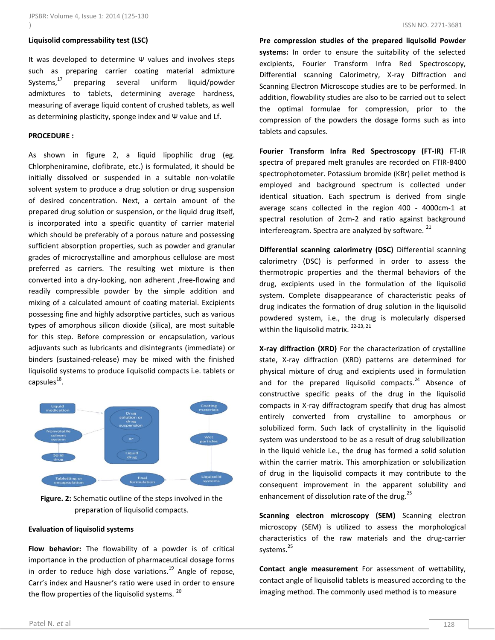#### **Liquisolid compressability test (LSC)**

It was developed to determine Ψ values and involves steps such as preparing carrier coating material admixture Systems, $17$  preparing several uniform liquid/powder admixtures to tablets, determining average hardness, measuring of average liquid content of crushed tablets, as well as determining plasticity, sponge index and  $\Psi$  value and Lf.

#### **PROCEDURE :**

As shown in figure 2, a liquid lipophilic drug (eg. Chlorpheniramine, clofibrate, etc.) is formulated, it should be initially dissolved or suspended in a suitable non-volatile solvent system to produce a drug solution or drug suspension of desired concentration. Next, a certain amount of the prepared drug solution or suspension, or the liquid drug itself, is incorporated into a specific quantity of carrier material which should be preferably of a porous nature and possessing sufficient absorption properties, such as powder and granular grades of microcrystalline and amorphous cellulose are most preferred as carriers. The resulting wet mixture is then converted into a dry-looking, non adherent ,free-flowing and readily compressible powder by the simple addition and mixing of a calculated amount of coating material. Excipients possessing fine and highly adsorptive particles, such as various types of amorphous silicon dioxide (silica), are most suitable for this step. Before compression or encapsulation, various adjuvants such as lubricants and disintegrants (immediate) or binders (sustained-release) may be mixed with the finished liquisolid systems to produce liquisolid compacts i.e. tablets or  $capsules<sup>18</sup>$ .



**Figure. 2:** Schematic outline of the steps involved in the preparation of liquisolid compacts.

#### **Evaluation of liquisolid systems**

**Flow behavior:** The flowability of a powder is of critical importance in the production of pharmaceutical dosage forms in order to reduce high dose variations. $^{19}$  Angle of repose, Carr's index and Hausner's ratio were used in order to ensure the flow properties of the liquisolid systems.<sup>20</sup>

**Pre compression studies of the prepared liquisolid Powder systems:** In order to ensure the suitability of the selected excipients, Fourier Transform Infra Red Spectroscopy, Differential scanning Calorimetry, X-ray Diffraction and Scanning Electron Microscope studies are to be performed. In addition, flowability studies are also to be carried out to select the optimal formulae for compression, prior to the compression of the powders the dosage forms such as into tablets and capsules.

**Fourier Transform Infra Red Spectroscopy (FT-IR)** FT-IR spectra of prepared melt granules are recorded on FTIR-8400 spectrophotometer. Potassium bromide (KBr) pellet method is employed and background spectrum is collected under identical situation. Each spectrum is derived from single average scans collected in the region 400 - 4000cm-1 at spectral resolution of 2cm-2 and ratio against background interfereogram. Spectra are analyzed by software.  $21$ 

**Differential scanning calorimetry (DSC)** Differential scanning calorimetry (DSC) is performed in order to assess the thermotropic properties and the thermal behaviors of the drug, excipients used in the formulation of the liquisolid system. Complete disappearance of characteristic peaks of drug indicates the formation of drug solution in the liquisolid powdered system, i.e., the drug is molecularly dispersed within the liquisolid matrix.<sup>22-23, 21</sup>

**X-ray diffraction (XRD)** For the characterization of crystalline state, X-ray diffraction (XRD) patterns are determined for physical mixture of drug and excipients used in formulation and for the prepared liquisolid compacts. $24$  Absence of constructive specific peaks of the drug in the liquisolid compacts in X-ray diffractogram specify that drug has almost entirely converted from crystalline to amorphous or solubilized form. Such lack of crystallinity in the liquisolid system was understood to be as a result of drug solubilization in the liquid vehicle i.e., the drug has formed a solid solution within the carrier matrix. This amorphization or solubilization of drug in the liquisolid compacts it may contribute to the consequent improvement in the apparent solubility and enhancement of dissolution rate of the drug. $^{25}$ 

**Scanning electron microscopy (SEM)** Scanning electron microscopy (SEM) is utilized to assess the morphological characteristics of the raw materials and the drug-carrier systems.<sup>25</sup>

**Contact angle measurement** For assessment of wettability, contact angle of liquisolid tablets is measured according to the imaging method. The commonly used method is to measure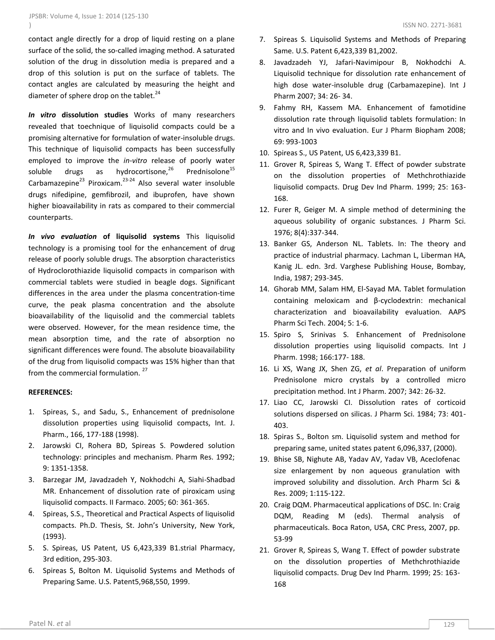contact angle directly for a drop of liquid resting on a plane surface of the solid, the so-called imaging method. A saturated solution of the drug in dissolution media is prepared and a drop of this solution is put on the surface of tablets. The contact angles are calculated by measuring the height and diameter of sphere drop on the tablet. $^{24}$ 

*In vitro* **dissolution studies** Works of many researchers revealed that toechnique of liquisolid compacts could be a promising alternative for formulation of water-insoluble drugs. This technique of liquisolid compacts has been successfully employed to improve the *in-vitro* release of poorly water soluble drugs as hydrocortisone, $^{26}$ Prednisolone<sup>15</sup> Carbamazepine $^{23}$  Piroxicam.<sup>23-24</sup> Also several water insoluble drugs nifedipine, gemfibrozil, and ibuprofen, have shown higher bioavailability in rats as compared to their commercial counterparts.

*In vivo evaluation* **of liquisolid systems** This liquisolid technology is a promising tool for the enhancement of drug release of poorly soluble drugs. The absorption characteristics of Hydroclorothiazide liquisolid compacts in comparison with commercial tablets were studied in beagle dogs. Significant differences in the area under the plasma concentration-time curve, the peak plasma concentration and the absolute bioavailability of the liquisolid and the commercial tablets were observed. However, for the mean residence time, the mean absorption time, and the rate of absorption no significant differences were found. The absolute bioavailability of the drug from liquisolid compacts was 15% higher than that from the commercial formulation.<sup>27</sup>

#### **REFERENCES:**

- 1. Spireas, S., and Sadu, S., Enhancement of prednisolone dissolution properties using liquisolid compacts, Int. J. Pharm., 166, 177-188 (1998).
- 2. Jarowski CI, Rohera BD, Spireas S. Powdered solution technology: principles and mechanism. Pharm Res. 1992; 9: 1351-1358.
- 3. Barzegar JM, Javadzadeh Y, Nokhodchi A, Siahi-Shadbad MR. Enhancement of dissolution rate of piroxicam using liquisolid compacts. II Farmaco. 2005; 60: 361-365.
- 4. Spireas, S.S., Theoretical and Practical Aspects of liquisolid compacts. Ph.D. Thesis, St. John's University, New York, (1993).
- 5. S. Spireas, US Patent, US 6,423,339 B1.strial Pharmacy, 3rd edition, 295-303.
- 6. Spireas S, Bolton M. Liquisolid Systems and Methods of Preparing Same. U.S. Patent5,968,550, 1999.
- 7. Spireas S. Liquisolid Systems and Methods of Preparing Same. U.S. Patent 6,423,339 B1,2002.
- 8. Javadzadeh YJ, Jafari-Navimipour B, Nokhodchi A. Liquisolid technique for dissolution rate enhancement of high dose water-insoluble drug (Carbamazepine). Int J Pharm 2007; 34: 26- 34.
- 9. Fahmy RH, Kassem MA. Enhancement of famotidine dissolution rate through liquisolid tablets formulation: In vitro and In vivo evaluation. Eur J Pharm Biopham 2008; 69: 993-1003
- 10. Spireas S., US Patent, US 6,423,339 B1.
- 11. Grover R, Spireas S, Wang T. Effect of powder substrate on the dissolution properties of Methchrothiazide liquisolid compacts. Drug Dev Ind Pharm. 1999; 25: 163- 168.
- 12. Furer R, Geiger M. A simple method of determining the aqueous solubility of organic substances*.* J Pharm Sci. 1976; 8(4):337-344.
- 13. Banker GS, Anderson NL. Tablets. In: The theory and practice of industrial pharmacy. Lachman L, Liberman HA, Kanig JL. edn. 3rd. Varghese Publishing House, Bombay, India, 1987; 293-345.
- 14. Ghorab MM, Salam HM, El-Sayad MA. Tablet formulation containing meloxicam and β-cyclodextrin: mechanical characterization and bioavailability evaluation. AAPS Pharm Sci Tech. 2004; 5: 1-6.
- 15. Spiro S, Srinivas S. Enhancement of Prednisolone dissolution properties using liquisolid compacts. Int J Pharm. 1998; 166:177- 188.
- 16. Li XS, Wang JX, Shen ZG, *et al*. Preparation of uniform Prednisolone micro crystals by a controlled micro precipitation method. Int J Pharm. 2007; 342: 26-32.
- 17. Liao CC, Jarowski CI. Dissolution rates of corticoid solutions dispersed on silicas. J Pharm Sci. 1984; 73: 401- 403.
- 18. Spiras S., Bolton sm. Liquisolid system and method for preparing same, united states patent 6,096,337, (2000).
- 19. Bhise SB, Nighute AB, Yadav AV, Yadav VB, Aceclofenac size enlargement by non aqueous granulation with improved solubility and dissolution. Arch Pharm Sci & Res. 2009; 1:115-122.
- 20. Craig DQM. Pharmaceutical applications of DSC. In: Craig DQM, Reading M (eds). Thermal analysis of pharmaceuticals. Boca Raton, USA, CRC Press, 2007, pp. 53-99
- 21. Grover R, Spireas S, Wang T. Effect of powder substrate on the dissolution properties of Methchrothiazide liquisolid compacts. Drug Dev Ind Pharm. 1999; 25: 163- 168